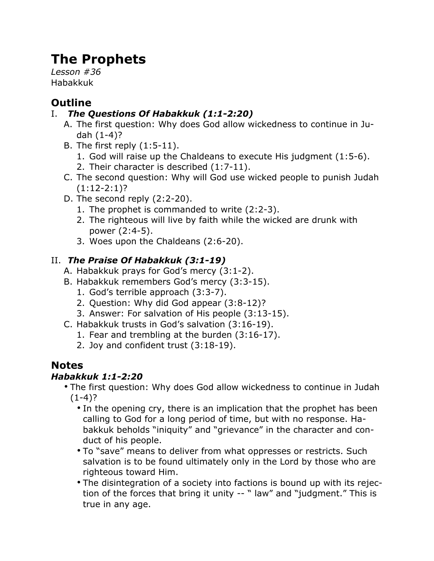# **The Prophets**

*Lesson #36* Habakkuk

# **Outline**

#### I. *The Questions Of Habakkuk (1:1-2:20)*

- A. The first question: Why does God allow wickedness to continue in Judah (1-4)?
- B. The first reply (1:5-11).
	- 1. God will raise up the Chaldeans to execute His judgment (1:5-6).
	- 2. Their character is described (1:7-11).
- C. The second question: Why will God use wicked people to punish Judah  $(1:12-2:1)?$
- D. The second reply (2:2-20).
	- 1. The prophet is commanded to write (2:2-3).
	- 2. The righteous will live by faith while the wicked are drunk with power (2:4-5).
	- 3. Woes upon the Chaldeans (2:6-20).

### II. *The Praise Of Habakkuk (3:1-19)*

- A. Habakkuk prays for God's mercy (3:1-2).
- B. Habakkuk remembers God's mercy (3:3-15).
	- 1. God's terrible approach (3:3-7).
	- 2. Question: Why did God appear (3:8-12)?
	- 3. Answer: For salvation of His people (3:13-15).
- C. Habakkuk trusts in God's salvation (3:16-19).
	- 1. Fear and trembling at the burden (3:16-17).
	- 2. Joy and confident trust (3:18-19).

## **Notes**

#### *Habakkuk 1:1-2:20*

- The first question: Why does God allow wickedness to continue in Judah  $(1-4)?$ 
	- In the opening cry, there is an implication that the prophet has been calling to God for a long period of time, but with no response. Habakkuk beholds "iniquity" and "grievance" in the character and conduct of his people.
	- To "save" means to deliver from what oppresses or restricts. Such salvation is to be found ultimately only in the Lord by those who are righteous toward Him.
	- The disintegration of a society into factions is bound up with its rejection of the forces that bring it unity -- " law" and "judgment." This is true in any age.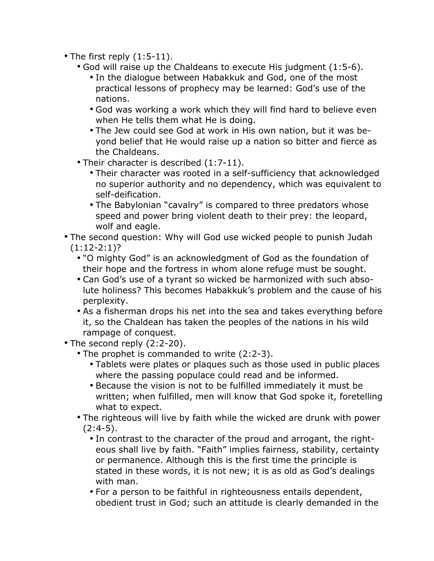- The first reply (1:5-11).
	- God will raise up the Chaldeans to execute His judgment (1:5-6).
		- In the dialogue between Habakkuk and God, one of the most practical lessons of prophecy may be learned: God's use of the nations.
		- God was working a work which they will find hard to believe even when He tells them what He is doing.
		- The Jew could see God at work in His own nation, but it was beyond belief that He would raise up a nation so bitter and fierce as the Chaldeans.
	- Their character is described (1:7-11).
		- Their character was rooted in a self-sufficiency that acknowledged no superior authority and no dependency, which was equivalent to self-deification.
		- The Babylonian "cavalry" is compared to three predators whose speed and power bring violent death to their prey: the leopard, wolf and eagle.
- The second question: Why will God use wicked people to punish Judah  $(1:12-2:1)?$ 
	- "O mighty God" is an acknowledgment of God as the foundation of their hope and the fortress in whom alone refuge must be sought.
	- Can God's use of a tyrant so wicked be harmonized with such absolute holiness? This becomes Habakkuk's problem and the cause of his perplexity.
	- As a fisherman drops his net into the sea and takes everything before it, so the Chaldean has taken the peoples of the nations in his wild rampage of conquest.
- The second reply (2:2-20).
	- The prophet is commanded to write (2:2-3).
		- Tablets were plates or plaques such as those used in public places where the passing populace could read and be informed.
		- Because the vision is not to be fulfilled immediately it must be written; when fulfilled, men will know that God spoke it, foretelling what to expect.
	- The righteous will live by faith while the wicked are drunk with power  $(2:4-5)$ .
		- In contrast to the character of the proud and arrogant, the righteous shall live by faith. "Faith" implies fairness, stability, certainty or permanence. Although this is the first time the principle is stated in these words, it is not new; it is as old as God's dealings with man.
		- For a person to be faithful in righteousness entails dependent, obedient trust in God; such an attitude is clearly demanded in the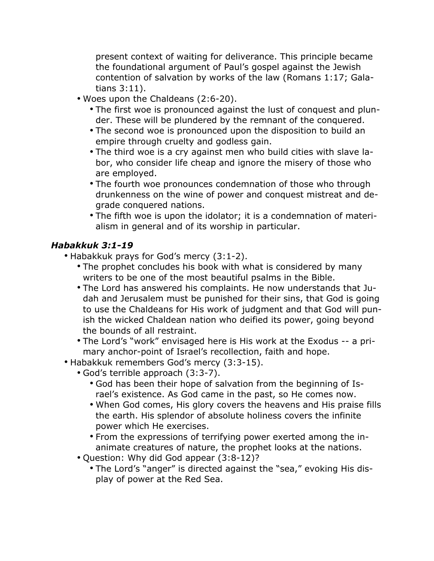present context of waiting for deliverance. This principle became the foundational argument of Paul's gospel against the Jewish contention of salvation by works of the law (Romans 1:17; Galatians 3:11).

- Woes upon the Chaldeans (2:6-20).
	- The first woe is pronounced against the lust of conquest and plunder. These will be plundered by the remnant of the conquered.
	- The second woe is pronounced upon the disposition to build an empire through cruelty and godless gain.
	- The third woe is a cry against men who build cities with slave labor, who consider life cheap and ignore the misery of those who are employed.
	- The fourth woe pronounces condemnation of those who through drunkenness on the wine of power and conquest mistreat and degrade conquered nations.
	- The fifth woe is upon the idolator; it is a condemnation of materialism in general and of its worship in particular.

#### *Habakkuk 3:1-19*

• Habakkuk prays for God's mercy (3:1-2).

- The prophet concludes his book with what is considered by many writers to be one of the most beautiful psalms in the Bible.
- The Lord has answered his complaints. He now understands that Judah and Jerusalem must be punished for their sins, that God is going to use the Chaldeans for His work of judgment and that God will punish the wicked Chaldean nation who deified its power, going beyond the bounds of all restraint.
- The Lord's "work" envisaged here is His work at the Exodus -- a primary anchor-point of Israel's recollection, faith and hope.
- Habakkuk remembers God's mercy (3:3-15).
	- God's terrible approach (3:3-7).
		- God has been their hope of salvation from the beginning of Israel's existence. As God came in the past, so He comes now.
		- When God comes, His glory covers the heavens and His praise fills the earth. His splendor of absolute holiness covers the infinite power which He exercises.
		- From the expressions of terrifying power exerted among the inanimate creatures of nature, the prophet looks at the nations.
	- Question: Why did God appear (3:8-12)?
		- The Lord's "anger" is directed against the "sea," evoking His display of power at the Red Sea.